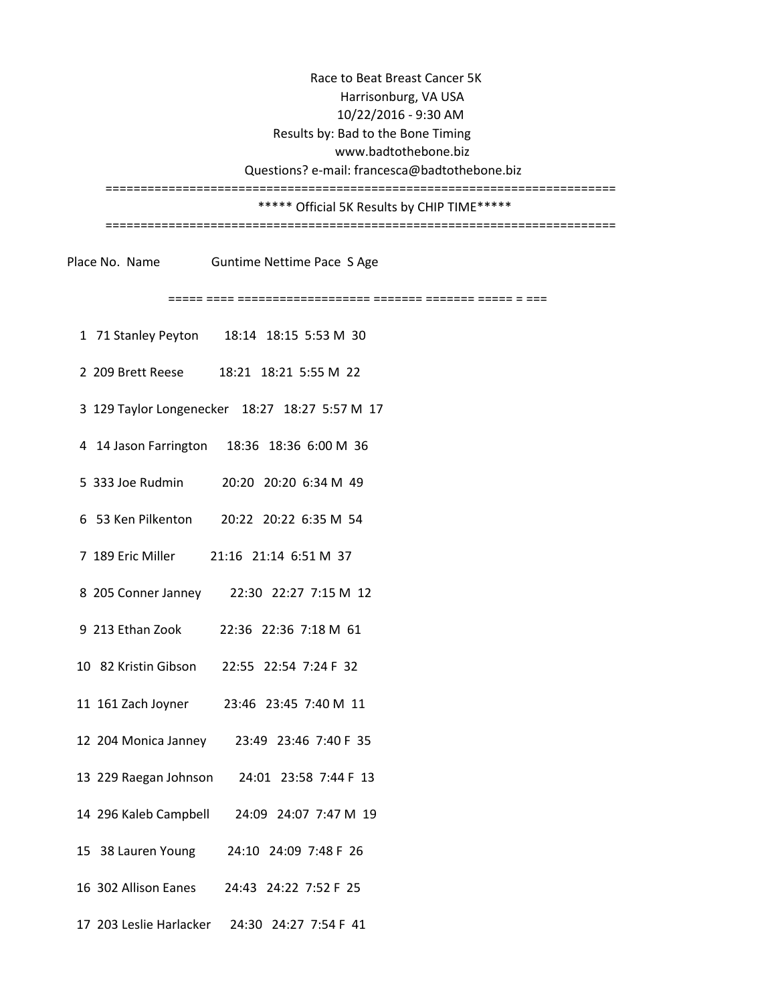www.badtothebone.biz Questions? e-mail: francesca@badtothebone.biz ========================================================================= \*\*\*\*\* Official 5K Results by CHIP TIME\*\*\*\*\* Race to Beat Breast Cancer 5K Results by: Bad to the Bone Timing Harrisonburg, VA USA 10/22/2016 - 9:30 AM

=========================================================================

Place No. Name Guntime Nettime Pace S Age

===== ==== =================== ======= ======= ===== = ===

- 1 71 Stanley Peyton 18:14 18:15 5:53 M 30
- 2 209 Brett Reese 18:21 18:21 5:55 M 22
- 3 129 Taylor Longenecker 18:27 18:27 5:57 M 17
- 4 14 Jason Farrington 18:36 18:36 6:00 M 36
- 5 333 Joe Rudmin 20:20 20:20 6:34 M 49
- 6 53 Ken Pilkenton 20:22 20:22 6:35 M 54
- 7 189 Eric Miller 21:16 21:14 6:51 M 37
- 8 205 Conner Janney 22:30 22:27 7:15 M 12
- 9 213 Ethan Zook 22:36 22:36 7:18 M 61
- 10 82 Kristin Gibson 22:55 22:54 7:24 F 32
- 11 161 Zach Joyner 23:46 23:45 7:40 M 11
- 12 204 Monica Janney 23:49 23:46 7:40 F 35
- 13 229 Raegan Johnson 24:01 23:58 7:44 F 13
- 14 296 Kaleb Campbell 24:09 24:07 7:47 M 19
- 15 38 Lauren Young 24:10 24:09 7:48 F 26
- 16 302 Allison Eanes 24:43 24:22 7:52 F 25
- 17 203 Leslie Harlacker 24:30 24:27 7:54 F 41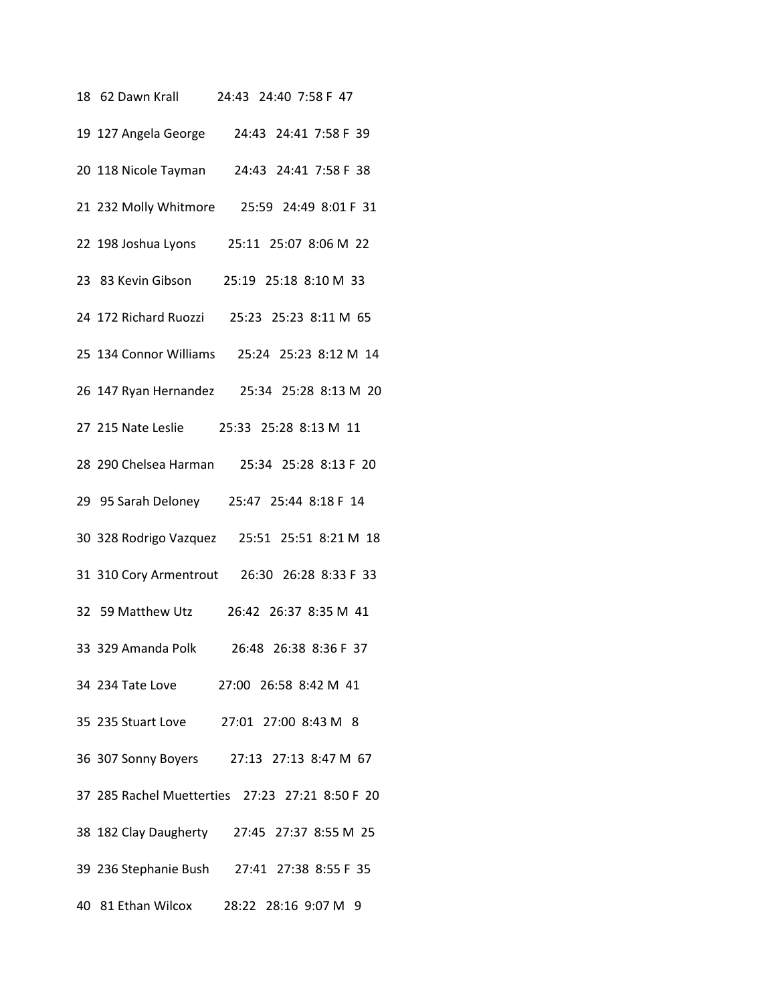| 18 62 Dawn Krall<br>24:43 24:40 7:58 F 47       |
|-------------------------------------------------|
| 24:43 24:41 7:58 F 39<br>19 127 Angela George   |
| 20 118 Nicole Tayman 24:43 24:41 7:58 F 38      |
| 21 232 Molly Whitmore  25:59 24:49 8:01 F 31    |
| 22 198 Joshua Lyons<br>25:11 25:07 8:06 M 22    |
| 23 83 Kevin Gibson 25:19 25:18 8:10 M 33        |
| 24 172 Richard Ruozzi 25:23 25:23 8:11 M 65     |
| 25 134 Connor Williams 25:24 25:23 8:12 M 14    |
| 26 147 Ryan Hernandez 25:34 25:28 8:13 M 20     |
| 27 215 Nate Leslie<br>25:33 25:28 8:13 M 11     |
| 28 290 Chelsea Harman 25:34 25:28 8:13 F 20     |
| 29 95 Sarah Deloney 25:47 25:44 8:18 F 14       |
| 30 328 Rodrigo Vazquez 25:51 25:51 8:21 M 18    |
| 31 310 Cory Armentrout 26:30 26:28 8:33 F 33    |
| 26:42 26:37 8:35 M 41<br>32 59 Matthew Utz      |
| 33 329 Amanda Polk<br>26:48 26:38 8:36 F 37     |
| 34 234 Tate Love 27:00 26:58 8:42 M 41          |
| 35 235 Stuart Love 27:01 27:00 8:43 M 8         |
| 36 307 Sonny Boyers 27:13 27:13 8:47 M 67       |
| 37 285 Rachel Muetterties 27:23 27:21 8:50 F 20 |
| 38 182 Clay Daugherty 27:45 27:37 8:55 M 25     |
| 39 236 Stephanie Bush 27:41 27:38 8:55 F 35     |
| 40 81 Ethan Wilcox 28:22 28:16 9:07 M 9         |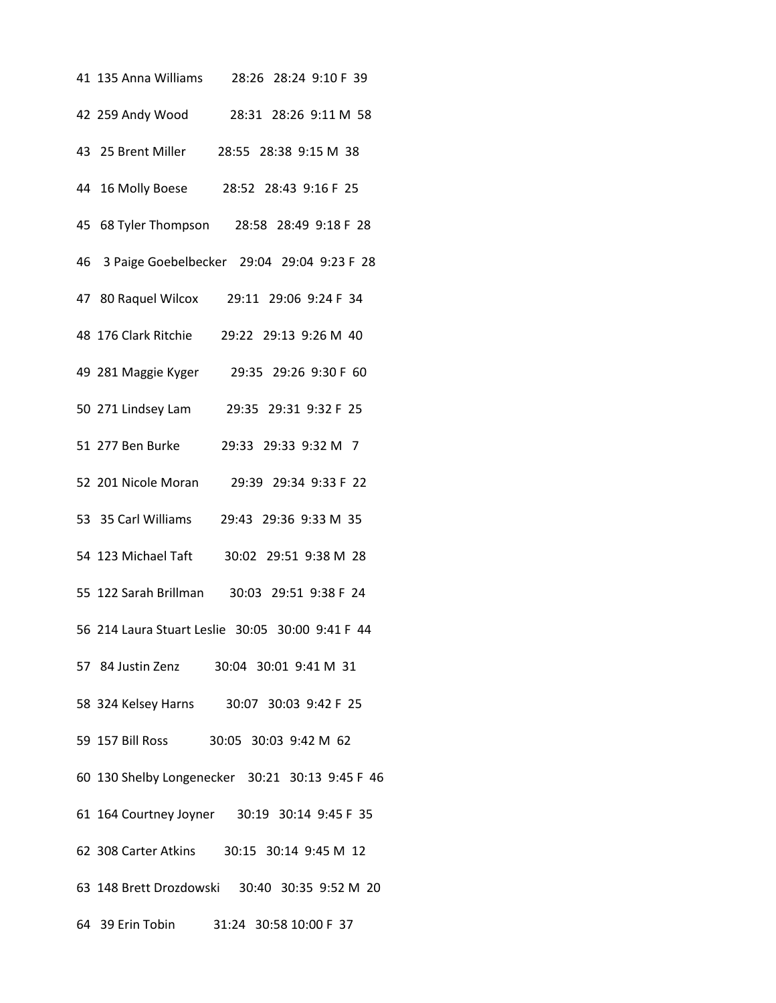| 41 135 Anna Williams 28:26 28:24 9:10 F 39       |
|--------------------------------------------------|
| 42 259 Andy Wood 28:31 28:26 9:11 M 58           |
| 43 25 Brent Miller 28:55 28:38 9:15 M 38         |
| 44 16 Molly Boese 28:52 28:43 9:16 F 25          |
| 45 68 Tyler Thompson 28:58 28:49 9:18 F 28       |
| 46 3 Paige Goebelbecker 29:04 29:04 9:23 F 28    |
| 47 80 Raquel Wilcox 29:11 29:06 9:24 F 34        |
| 48 176 Clark Ritchie 29:22 29:13 9:26 M 40       |
| 49 281 Maggie Kyger 29:35 29:26 9:30 F 60        |
| 50 271 Lindsey Lam 29:35 29:31 9:32 F 25         |
| 51 277 Ben Burke<br>29:33 29:33 9:32 M 7         |
| 52 201 Nicole Moran 29:39 29:34 9:33 F 22        |
| 53 35 Carl Williams 29:43 29:36 9:33 M 35        |
| 54 123 Michael Taft<br>30:02 29:51 9:38 M 28     |
| 55 122 Sarah Brillman 30:03 29:51 9:38 F 24      |
| 56 214 Laura Stuart Leslie 30:05 30:00 9:41 F 44 |
| 57 84 Justin Zenz 30:04 30:01 9:41 M 31          |
| 58 324 Kelsey Harns 30:07 30:03 9:42 F 25        |
| 59 157 Bill Ross 30:05 30:03 9:42 M 62           |
| 60 130 Shelby Longenecker 30:21 30:13 9:45 F 46  |
| 61 164 Courtney Joyner 30:19 30:14 9:45 F 35     |
| 62 308 Carter Atkins 30:15 30:14 9:45 M 12       |
| 63 148 Brett Drozdowski 30:40 30:35 9:52 M 20    |
| 64 39 Erin Tobin 31:24 30:58 10:00 F 37          |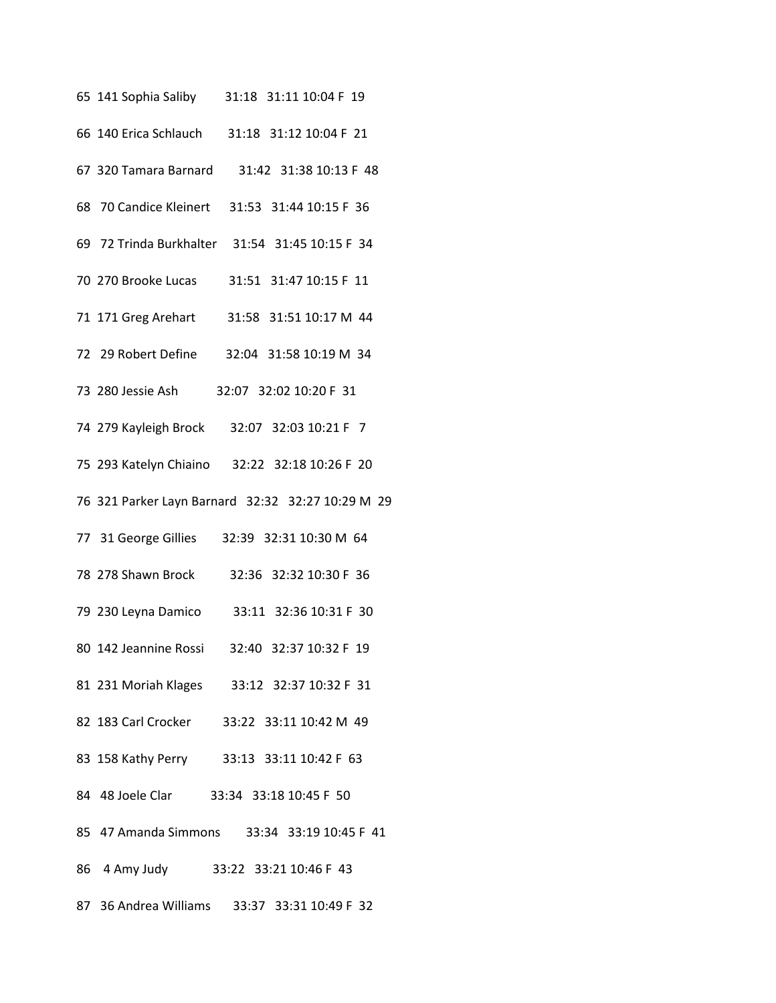| 65 141 Sophia Saliby 31:18 31:11 10:04 F 19       |
|---------------------------------------------------|
| 66 140 Erica Schlauch 31:18 31:12 10:04 F 21      |
| 67 320 Tamara Barnard 31:42 31:38 10:13 F 48      |
| 68 70 Candice Kleinert 31:53 31:44 10:15 F 36     |
| 69 72 Trinda Burkhalter 31:54 31:45 10:15 F 34    |
| 70 270 Brooke Lucas 31:51 31:47 10:15 F 11        |
| 71 171 Greg Arehart 31:58 31:51 10:17 M 44        |
| 72 29 Robert Define 32:04 31:58 10:19 M 34        |
| 32:07 32:02 10:20 F 31<br>73 280 Jessie Ash       |
| 74 279 Kayleigh Brock 32:07 32:03 10:21 F 7       |
| 75 293 Katelyn Chiaino 32:22 32:18 10:26 F 20     |
| 76 321 Parker Layn Barnard 32:32 32:27 10:29 M 29 |
| 77 31 George Gillies 32:39 32:31 10:30 M 64       |
| 78 278 Shawn Brock<br>32:36 32:32 10:30 F 36      |
| 79 230 Leyna Damico 33:11 32:36 10:31 F 30        |
| 80 142 Jeannine Rossi<br>32:40 32:37 10:32 F 19   |
| 81 231 Moriah Klages 33:12 32:37 10:32 F 31       |
| 82 183 Carl Crocker 33:22 33:11 10:42 M 49        |
| 83 158 Kathy Perry 33:13 33:11 10:42 F 63         |
| 84 48 Joele Clar 33:34 33:18 10:45 F 50           |
| 85 47 Amanda Simmons 33:34 33:19 10:45 F 41       |
| 86 4 Amy Judy 33:22 33:21 10:46 F 43              |
| 87 36 Andrea Williams 33:37 33:31 10:49 F 32      |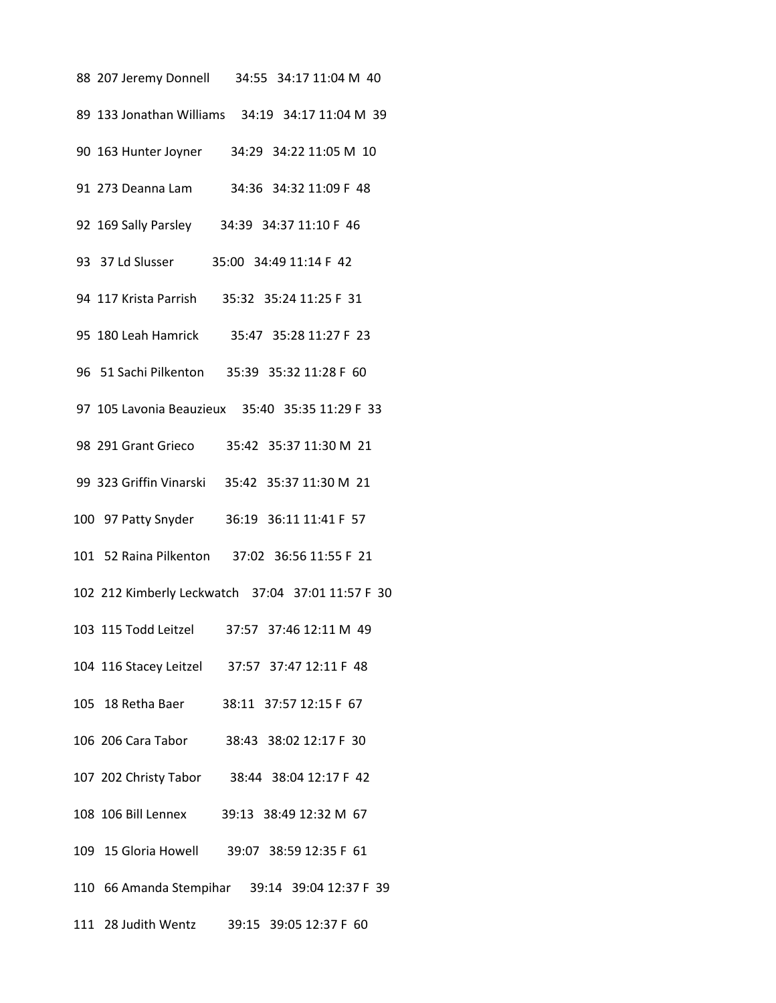| 88 207 Jeremy Donnell 34:55 34:17 11:04 M 40      |
|---------------------------------------------------|
| 89 133 Jonathan Williams 34:19 34:17 11:04 M 39   |
| 90 163 Hunter Joyner 34:29 34:22 11:05 M 10       |
| 91 273 Deanna Lam 34:36 34:32 11:09 F 48          |
| 92 169 Sally Parsley 34:39 34:37 11:10 F 46       |
| 93 37 Ld Slusser 35:00 34:49 11:14 F 42           |
| 94 117 Krista Parrish 35:32 35:24 11:25 F 31      |
| 95 180 Leah Hamrick 35:47 35:28 11:27 F 23        |
| 96 51 Sachi Pilkenton 35:39 35:32 11:28 F 60      |
| 97 105 Lavonia Beauzieux 35:40 35:35 11:29 F 33   |
| 98 291 Grant Grieco 35:42 35:37 11:30 M 21        |
| 99 323 Griffin Vinarski 35:42 35:37 11:30 M 21    |
| 100 97 Patty Snyder 36:19 36:11 11:41 F 57        |
| 101 52 Raina Pilkenton 37:02 36:56 11:55 F 21     |
| 102 212 Kimberly Leckwatch 37:04 37:01 11:57 F 30 |
| 103 115 Todd Leitzel<br>37:57 37:46 12:11 M 49    |
| 104 116 Stacey Leitzel 37:57 37:47 12:11 F 48     |
| 105 18 Retha Baer 38:11 37:57 12:15 F 67          |
| 106 206 Cara Tabor 38:43 38:02 12:17 F 30         |
| 107 202 Christy Tabor 38:44 38:04 12:17 F 42      |
| 108 106 Bill Lennex 39:13 38:49 12:32 M 67        |
| 109 15 Gloria Howell 39:07 38:59 12:35 F 61       |
| 110 66 Amanda Stempihar 39:14 39:04 12:37 F 39    |
| 111 28 Judith Wentz 39:15 39:05 12:37 F 60        |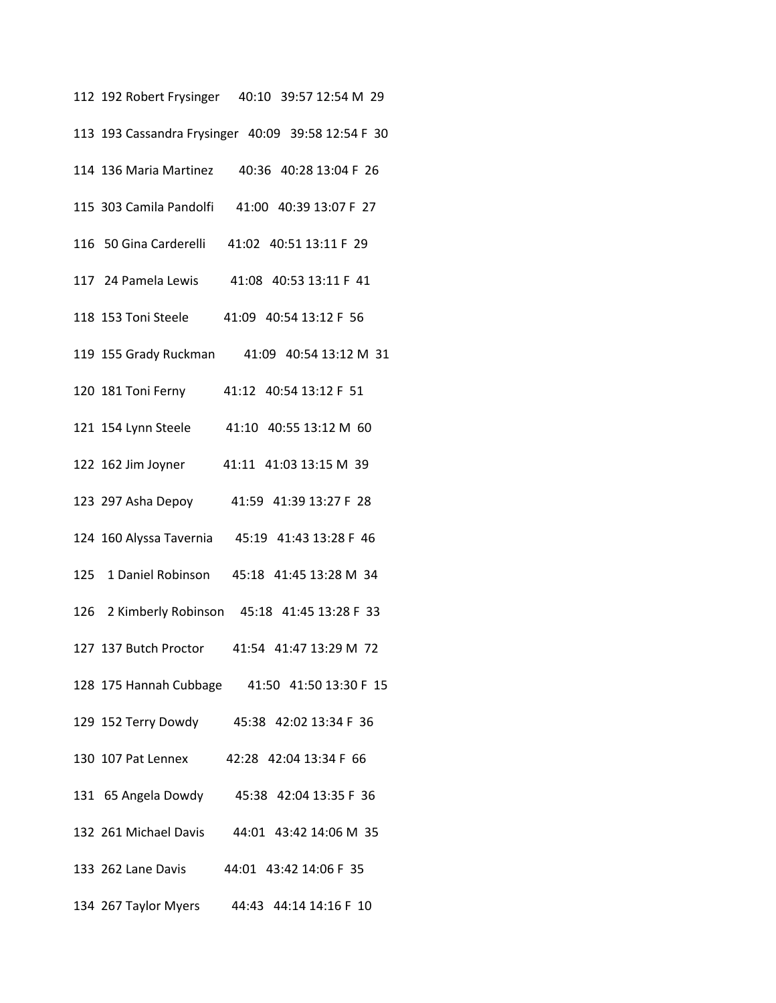| 112 192 Robert Frysinger 40:10 39:57 12:54 M 29    |
|----------------------------------------------------|
| 113 193 Cassandra Frysinger 40:09 39:58 12:54 F 30 |
| 114 136 Maria Martinez 40:36 40:28 13:04 F 26      |
| 115 303 Camila Pandolfi 41:00 40:39 13:07 F 27     |
| 116 50 Gina Carderelli 41:02 40:51 13:11 F 29      |
| 117 24 Pamela Lewis 41:08 40:53 13:11 F 41         |
| 118 153 Toni Steele 41:09 40:54 13:12 F 56         |
| 119 155 Grady Ruckman 41:09 40:54 13:12 M 31       |
| 120 181 Toni Ferny 41:12 40:54 13:12 F 51          |
| 121 154 Lynn Steele 41:10 40:55 13:12 M 60         |
| 122 162 Jim Joyner 41:11 41:03 13:15 M 39          |
| 123 297 Asha Depoy 41:59 41:39 13:27 F 28          |
| 124 160 Alyssa Tavernia 45:19 41:43 13:28 F 46     |
| 125 1 Daniel Robinson 45:18 41:45 13:28 M 34       |
| 126 2 Kimberly Robinson 45:18 41:45 13:28 F 33     |
| 127 137 Butch Proctor 41:54 41:47 13:29 M 72       |
| 128 175 Hannah Cubbage 41:50 41:50 13:30 F 15      |
| 129 152 Terry Dowdy 45:38 42:02 13:34 F 36         |
| 130 107 Pat Lennex 42:28 42:04 13:34 F 66          |
| 131 65 Angela Dowdy 45:38 42:04 13:35 F 36         |
| 132 261 Michael Davis 44:01 43:42 14:06 M 35       |
| 133 262 Lane Davis 44:01 43:42 14:06 F 35          |
| 134 267 Taylor Myers 44:43 44:14 14:16 F 10        |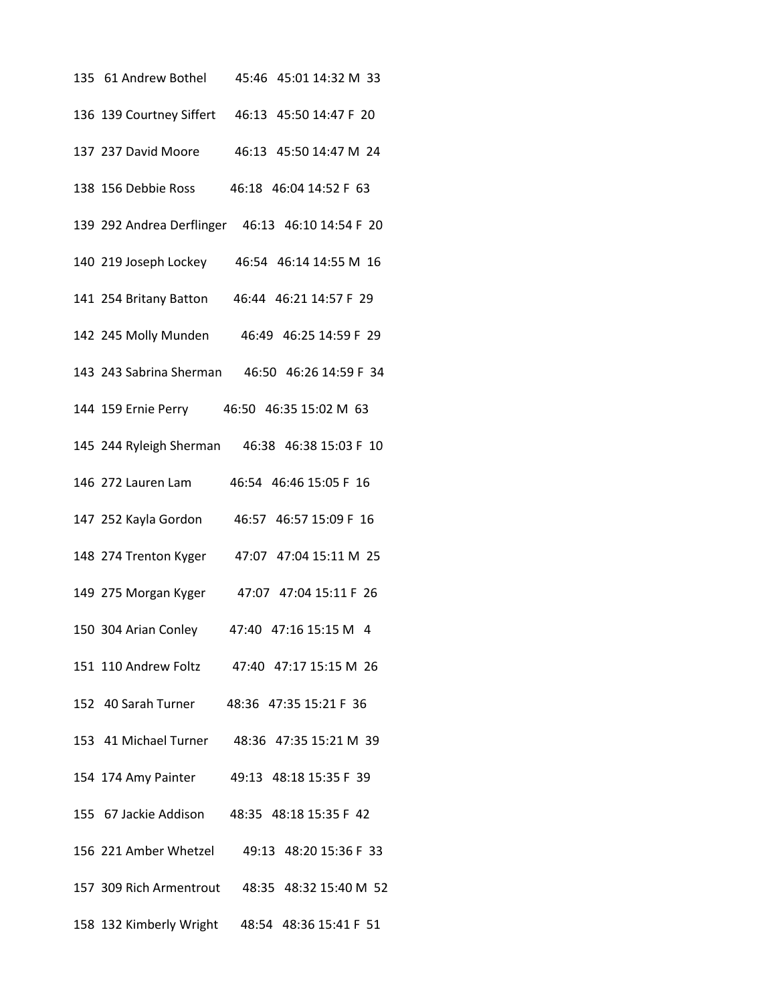| 135 61 Andrew Bothel<br>45:46 45:01 14:32 M 33   |
|--------------------------------------------------|
| 136 139 Courtney Siffert 46:13 45:50 14:47 F 20  |
| 137 237 David Moore<br>46:13 45:50 14:47 M 24    |
| 46:18 46:04 14:52 F 63<br>138 156 Debbie Ross    |
| 139 292 Andrea Derflinger 46:13 46:10 14:54 F 20 |
| 140 219 Joseph Lockey 46:54 46:14 14:55 M 16     |
| 46:44 46:21 14:57 F 29<br>141 254 Britany Batton |
| 142 245 Molly Munden 46:49 46:25 14:59 F 29      |
| 143 243 Sabrina Sherman 46:50 46:26 14:59 F 34   |
| 144 159 Ernie Perry 46:50 46:35 15:02 M 63       |
| 145 244 Ryleigh Sherman 46:38 46:38 15:03 F 10   |
| 146 272 Lauren Lam<br>46:54 46:46 15:05 F 16     |
| 46:57 46:57 15:09 F 16<br>147 252 Kayla Gordon   |
| 148 274 Trenton Kyger<br>47:07 47:04 15:11 M 25  |
| 149 275 Morgan Kyger<br>47:07 47:04 15:11 F 26   |
| 47:40 47:16 15:15 M 4<br>150 304 Arian Conley    |
| 151 110 Andrew Foltz 47:40 47:17 15:15 M 26      |
| 152 40 Sarah Turner 48:36 47:35 15:21 F 36       |
| 153 41 Michael Turner 48:36 47:35 15:21 M 39     |
| 154 174 Amy Painter 49:13 48:18 15:35 F 39       |
| 155 67 Jackie Addison 48:35 48:18 15:35 F 42     |
| 156 221 Amber Whetzel 49:13 48:20 15:36 F 33     |
| 157 309 Rich Armentrout 48:35 48:32 15:40 M 52   |
| 158 132 Kimberly Wright 48:54 48:36 15:41 F 51   |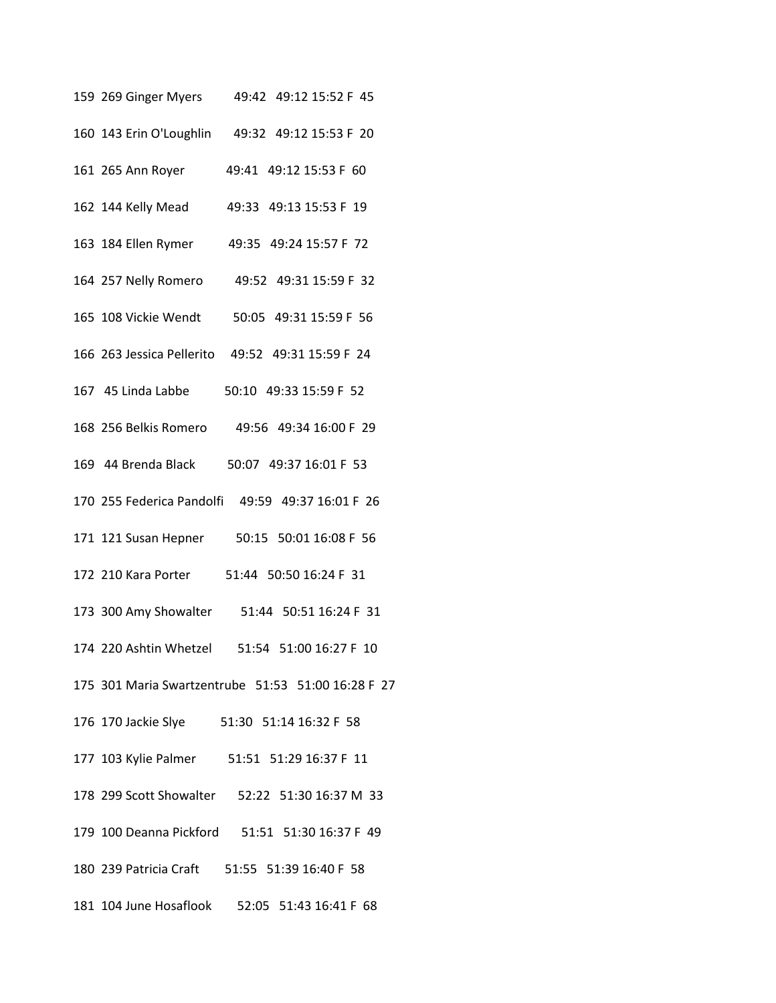| 159 269 Ginger Myers 49:42 49:12 15:52 F 45        |
|----------------------------------------------------|
| 160 143 Erin O'Loughlin 49:32 49:12 15:53 F 20     |
| 161 265 Ann Royer 49:41 49:12 15:53 F 60           |
| 162 144 Kelly Mead 49:33 49:13 15:53 F 19          |
| 49:35 49:24 15:57 F 72<br>163 184 Ellen Rymer      |
| 164 257 Nelly Romero 49:52 49:31 15:59 F 32        |
| 165 108 Vickie Wendt 50:05 49:31 15:59 F 56        |
| 166 263 Jessica Pellerito 49:52 49:31 15:59 F 24   |
| 167 45 Linda Labbe 50:10 49:33 15:59 F 52          |
| 168 256 Belkis Romero 49:56 49:34 16:00 F 29       |
| 169 44 Brenda Black 50:07 49:37 16:01 F 53         |
| 170 255 Federica Pandolfi 49:59 49:37 16:01 F 26   |
| 171 121 Susan Hepner 50:15 50:01 16:08 F 56        |
| 172 210 Kara Porter 51:44 50:50 16:24 F 31         |
| 173 300 Amy Showalter 51:44 50:51 16:24 F 31       |
| 174 220 Ashtin Whetzel 51:54 51:00 16:27 F 10      |
| 175 301 Maria Swartzentrube 51:53 51:00 16:28 F 27 |
| 176 170 Jackie Slye 51:30 51:14 16:32 F 58         |
| 177 103 Kylie Palmer 51:51 51:29 16:37 F 11        |
| 178 299 Scott Showalter 52:22 51:30 16:37 M 33     |
| 179 100 Deanna Pickford 51:51 51:30 16:37 F 49     |
| 180 239 Patricia Craft 51:55 51:39 16:40 F 58      |
| 181 104 June Hosaflook 52:05 51:43 16:41 F 68      |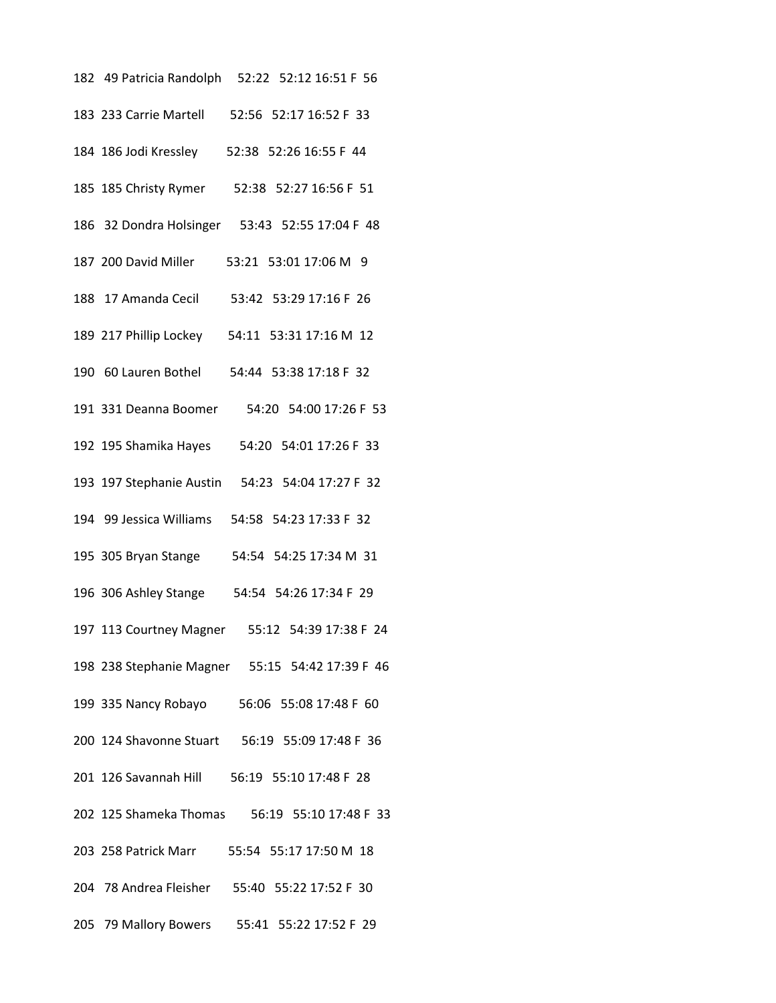| 182 49 Patricia Randolph 52:22 52:12 16:51 F 56 |
|-------------------------------------------------|
| 183 233 Carrie Martell 52:56 52:17 16:52 F 33   |
| 184 186 Jodi Kressley 52:38 52:26 16:55 F 44    |
| 185 185 Christy Rymer 52:38 52:27 16:56 F 51    |
| 186 32 Dondra Holsinger 53:43 52:55 17:04 F 48  |
| 187 200 David Miller 53:21 53:01 17:06 M 9      |
| 188 17 Amanda Cecil 53:42 53:29 17:16 F 26      |
| 189 217 Phillip Lockey 54:11 53:31 17:16 M 12   |
| 190 60 Lauren Bothel 54:44 53:38 17:18 F 32     |
| 191 331 Deanna Boomer 54:20 54:00 17:26 F 53    |
| 192 195 Shamika Hayes 54:20 54:01 17:26 F 33    |
| 193 197 Stephanie Austin 54:23 54:04 17:27 F 32 |
| 194 99 Jessica Williams 54:58 54:23 17:33 F 32  |
| 195 305 Bryan Stange 54:54 54:25 17:34 M 31     |
| 196 306 Ashley Stange 54:54 54:26 17:34 F 29    |
| 197 113 Courtney Magner 55:12 54:39 17:38 F 24  |
| 198 238 Stephanie Magner 55:15 54:42 17:39 F 46 |
| 199 335 Nancy Robayo 56:06 55:08 17:48 F 60     |
| 200 124 Shavonne Stuart 56:19 55:09 17:48 F 36  |
| 201 126 Savannah Hill 56:19 55:10 17:48 F 28    |
| 202 125 Shameka Thomas 56:19 55:10 17:48 F 33   |
| 203 258 Patrick Marr 55:54 55:17 17:50 M 18     |
| 204 78 Andrea Fleisher 55:40 55:22 17:52 F 30   |
| 205 79 Mallory Bowers 55:41 55:22 17:52 F 29    |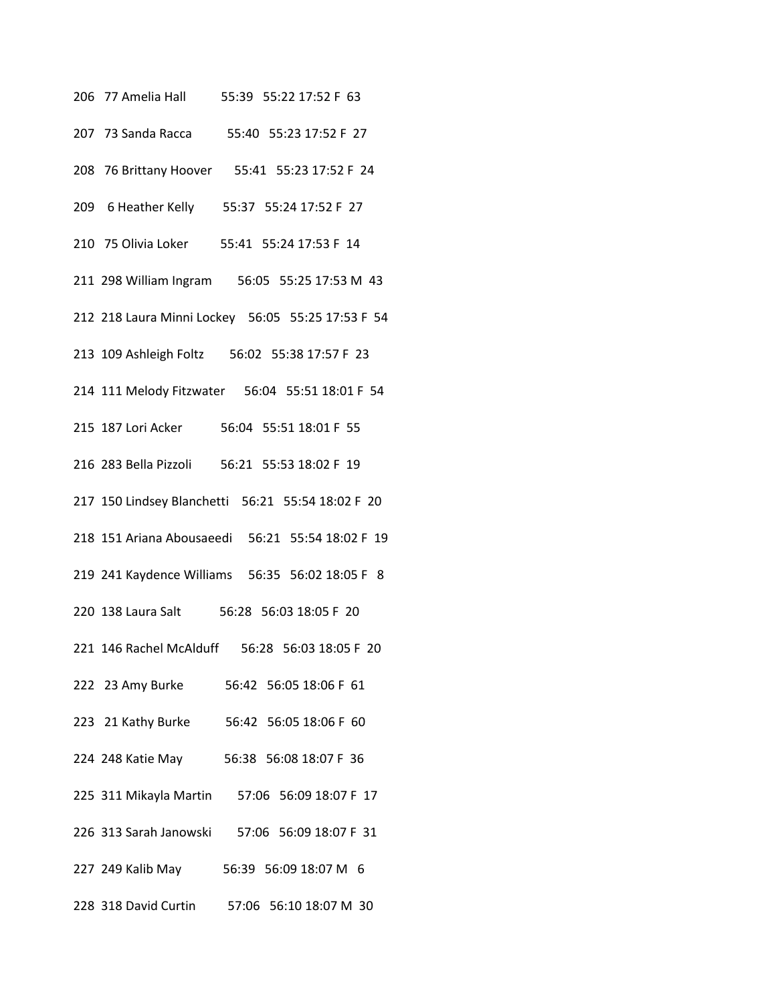206 77 Amelia Hall 55:39 55:22 17:52 F 63 207 73 Sanda Racca 55:40 55:23 17:52 F 27 208 76 Brittany Hoover 55:41 55:23 17:52 F 24 209 6 Heather Kelly 55:37 55:24 17:52 F 27 210 75 Olivia Loker 55:41 55:24 17:53 F 14 211 298 William Ingram 56:05 55:25 17:53 M 43 212 218 Laura Minni Lockey 56:05 55:25 17:53 F 54 213 109 Ashleigh Foltz 56:02 55:38 17:57 F 23 214 111 Melody Fitzwater 56:04 55:51 18:01 F 54 215 187 Lori Acker 56:04 55:51 18:01 F 55 216 283 Bella Pizzoli 56:21 55:53 18:02 F 19 217 150 Lindsey Blanchetti 56:21 55:54 18:02 F 20 218 151 Ariana Abousaeedi 56:21 55:54 18:02 F 19 219 241 Kaydence Williams 56:35 56:02 18:05 F 8 220 138 Laura Salt 56:28 56:03 18:05 F 20 221 146 Rachel McAlduff 56:28 56:03 18:05 F 20 222 23 Amy Burke 56:42 56:05 18:06 F 61 223 21 Kathy Burke 56:42 56:05 18:06 F 60 224 248 Katie May 56:38 56:08 18:07 F 36 225 311 Mikayla Martin 57:06 56:09 18:07 F 17 226 313 Sarah Janowski 57:06 56:09 18:07 F 31 227 249 Kalib May 56:39 56:09 18:07 M 6 228 318 David Curtin 57:06 56:10 18:07 M 30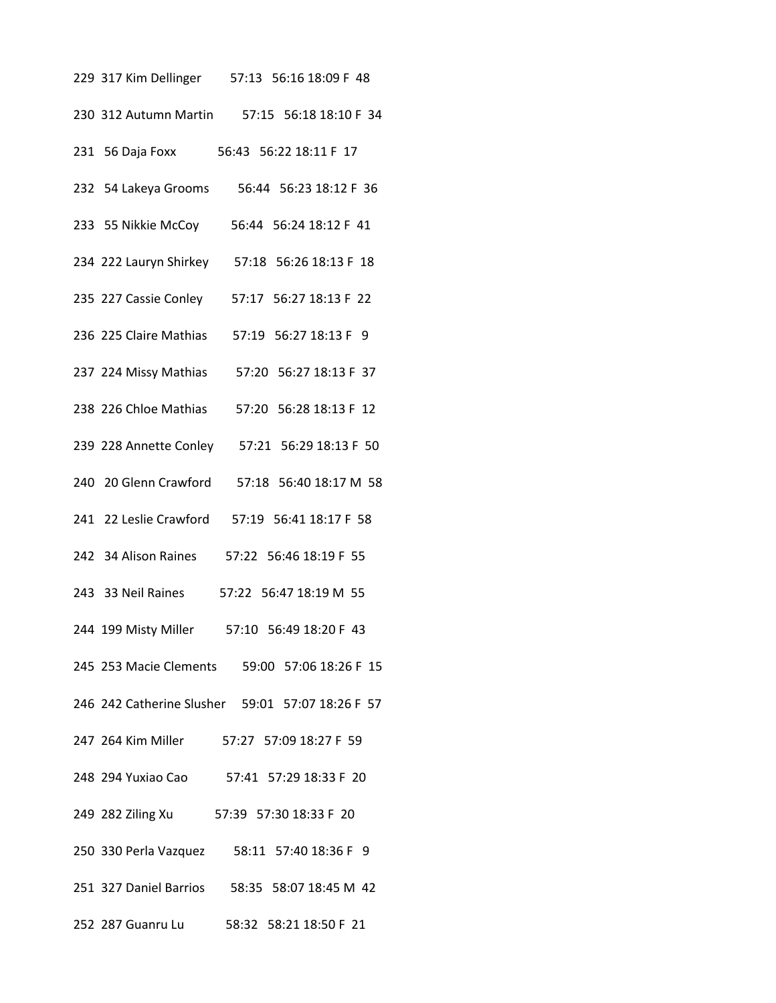| 229 317 Kim Dellinger 57:13 56:16 18:09 F 48     |
|--------------------------------------------------|
| 230 312 Autumn Martin 57:15 56:18 18:10 F 34     |
| 231 56 Daja Foxx 56:43 56:22 18:11 F 17          |
| 232 54 Lakeya Grooms<br>56:44 56:23 18:12 F 36   |
| 233 55 Nikkie McCoy<br>56:44 56:24 18:12 F 41    |
| 234 222 Lauryn Shirkey 57:18 56:26 18:13 F 18    |
| 235 227 Cassie Conley 57:17 56:27 18:13 F 22     |
| 236 225 Claire Mathias 57:19 56:27 18:13 F 9     |
| 237 224 Missy Mathias 57:20 56:27 18:13 F 37     |
| 238 226 Chloe Mathias 57:20 56:28 18:13 F 12     |
| 239 228 Annette Conley 57:21 56:29 18:13 F 50    |
| 240 20 Glenn Crawford<br>57:18 56:40 18:17 M 58  |
| 241 22 Leslie Crawford 57:19 56:41 18:17 F 58    |
| 242 34 Alison Raines<br>57:22 56:46 18:19 F 55   |
| 243 33 Neil Raines<br>57:22 56:47 18:19 M 55     |
| 244 199 Misty Miller<br>57:10 56:49 18:20 F 43   |
| 245 253 Macie Clements 59:00 57:06 18:26 F 15    |
| 246 242 Catherine Slusher 59:01 57:07 18:26 F 57 |
| 247 264 Kim Miller 57:27 57:09 18:27 F 59        |
| 248 294 Yuxiao Cao 57:41 57:29 18:33 F 20        |
| 249 282 Ziling Xu 57:39 57:30 18:33 F 20         |
| 250 330 Perla Vazquez 58:11 57:40 18:36 F 9      |
| 251 327 Daniel Barrios 58:35 58:07 18:45 M 42    |
| 252 287 Guanru Lu 58:32 58:21 18:50 F 21         |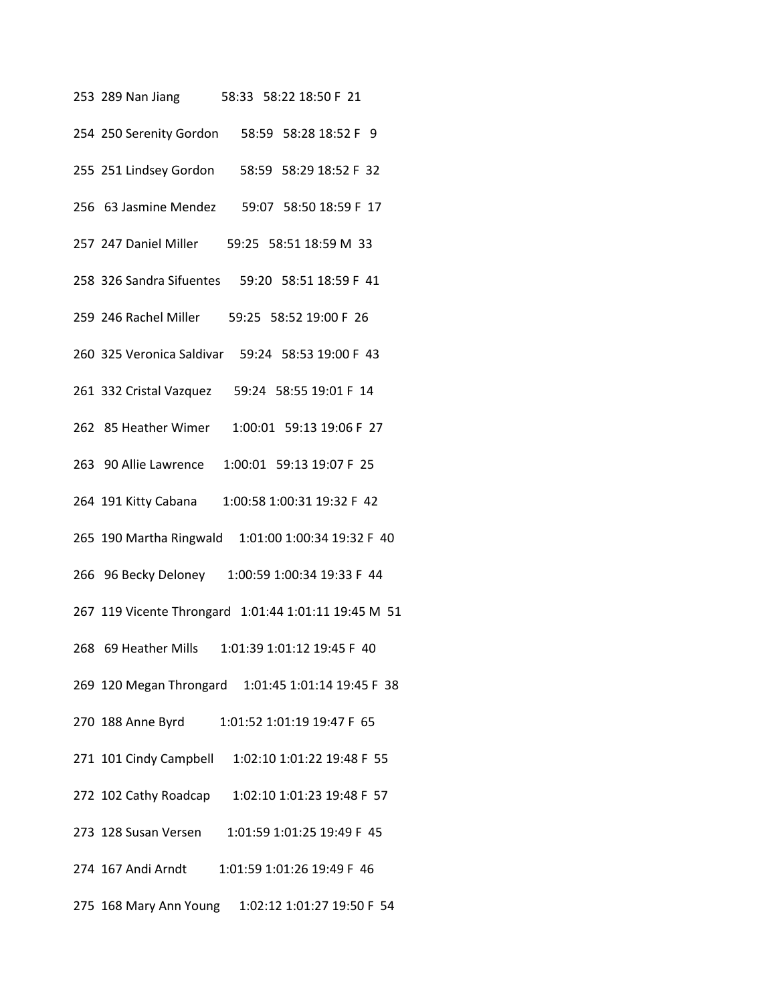253 289 Nan Jiang 58:33 58:22 18:50 F 21 254 250 Serenity Gordon 58:59 58:28 18:52 F 9 255 251 Lindsey Gordon 58:59 58:29 18:52 F 32 256 63 Jasmine Mendez 59:07 58:50 18:59 F 17 257 247 Daniel Miller 59:25 58:51 18:59 M 33 258 326 Sandra Sifuentes 59:20 58:51 18:59 F 41 259 246 Rachel Miller 59:25 58:52 19:00 F 26 260 325 Veronica Saldivar 59:24 58:53 19:00 F 43 261 332 Cristal Vazquez 59:24 58:55 19:01 F 14 262 85 Heather Wimer 1:00:01 59:13 19:06 F 27 263 90 Allie Lawrence 1:00:01 59:13 19:07 F 25 264 191 Kitty Cabana 1:00:58 1:00:31 19:32 F 42 265 190 Martha Ringwald 1:01:00 1:00:34 19:32 F 40 266 96 Becky Deloney 1:00:59 1:00:34 19:33 F 44 267 119 Vicente Throngard 1:01:44 1:01:11 19:45 M 51 268 69 Heather Mills 1:01:39 1:01:12 19:45 F 40 269 120 Megan Throngard 1:01:45 1:01:14 19:45 F 38 270 188 Anne Byrd 1:01:52 1:01:19 19:47 F 65 271 101 Cindy Campbell 1:02:10 1:01:22 19:48 F 55 272 102 Cathy Roadcap 1:02:10 1:01:23 19:48 F 57 273 128 Susan Versen 1:01:59 1:01:25 19:49 F 45 274 167 Andi Arndt 1:01:59 1:01:26 19:49 F 46 275 168 Mary Ann Young 1:02:12 1:01:27 19:50 F 54